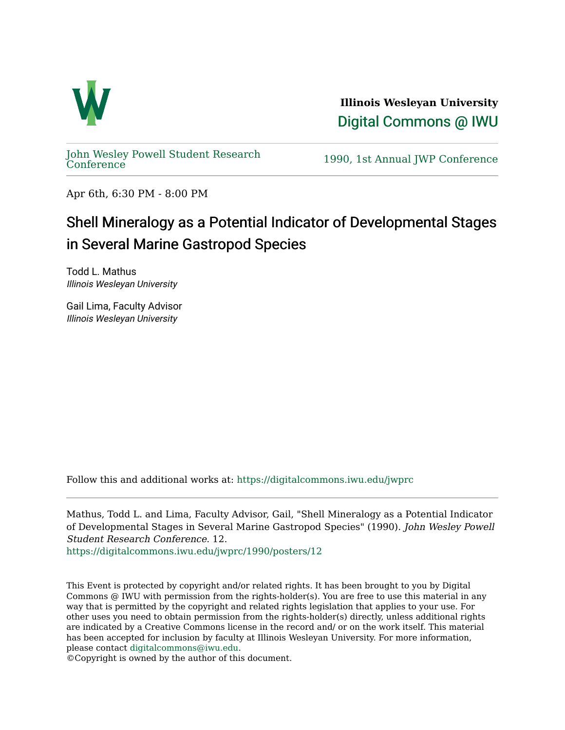

**Illinois Wesleyan University**  [Digital Commons @ IWU](https://digitalcommons.iwu.edu/) 

[John Wesley Powell Student Research](https://digitalcommons.iwu.edu/jwprc) 

1990, 1st Annual JWP [Conference](https://digitalcommons.iwu.edu/jwprc)

Apr 6th, 6:30 PM - 8:00 PM

## Shell Mineralogy as a Potential Indicator of Developmental Stages in Several Marine Gastropod Species

Todd L. Mathus Illinois Wesleyan University

Gail Lima, Faculty Advisor Illinois Wesleyan University

Follow this and additional works at: [https://digitalcommons.iwu.edu/jwprc](https://digitalcommons.iwu.edu/jwprc?utm_source=digitalcommons.iwu.edu%2Fjwprc%2F1990%2Fposters%2F12&utm_medium=PDF&utm_campaign=PDFCoverPages) 

Mathus, Todd L. and Lima, Faculty Advisor, Gail, "Shell Mineralogy as a Potential Indicator of Developmental Stages in Several Marine Gastropod Species" (1990). John Wesley Powell Student Research Conference. 12.

[https://digitalcommons.iwu.edu/jwprc/1990/posters/12](https://digitalcommons.iwu.edu/jwprc/1990/posters/12?utm_source=digitalcommons.iwu.edu%2Fjwprc%2F1990%2Fposters%2F12&utm_medium=PDF&utm_campaign=PDFCoverPages)

This Event is protected by copyright and/or related rights. It has been brought to you by Digital Commons @ IWU with permission from the rights-holder(s). You are free to use this material in any way that is permitted by the copyright and related rights legislation that applies to your use. For other uses you need to obtain permission from the rights-holder(s) directly, unless additional rights are indicated by a Creative Commons license in the record and/ or on the work itself. This material has been accepted for inclusion by faculty at Illinois Wesleyan University. For more information, please contact [digitalcommons@iwu.edu.](mailto:digitalcommons@iwu.edu)

©Copyright is owned by the author of this document.